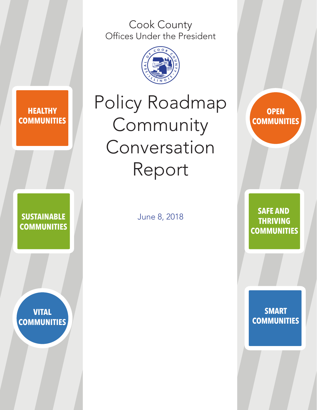Cook County Offices Under the President



### **HEALTHY COMMUNITIES**

**VITAL COMMUNITIES**

**SUSTAINABLE COMMUNITIES**

# Policy Roadmap Community Conversation Report

June 8, 2018

**OPEN COMMUNITIES**

**SAFE AND THRIVING COMMUNITIES**

**SMART COMMUNITIES**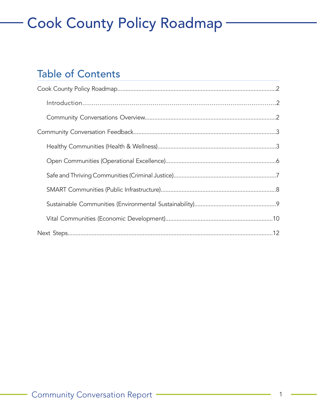### Table of Contents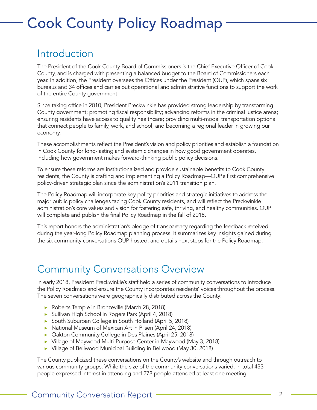### Introduction

The President of the Cook County Board of Commissioners is the Chief Executive Officer of Cook County, and is charged with presenting a balanced budget to the Board of Commissioners each year. In addition, the President oversees the Offices under the President (OUP), which spans six bureaus and 34 offices and carries out operational and administrative functions to support the work of the entire County government.

Since taking office in 2010, President Preckwinkle has provided strong leadership by transforming County government; promoting fiscal responsibility; advancing reforms in the criminal justice arena; ensuring residents have access to quality healthcare; providing multi-modal transportation options that connect people to family, work, and school; and becoming a regional leader in growing our economy.

These accomplishments reflect the President's vision and policy priorities and establish a foundation in Cook County for long-lasting and systemic changes in how good government operates, including how government makes forward-thinking public policy decisions.

To ensure these reforms are institutionalized and provide sustainable benefits to Cook County residents, the County is crafting and implementing a Policy Roadmap—OUP's first comprehensive policy-driven strategic plan since the administration's 2011 transition plan.

The Policy Roadmap will incorporate key policy priorities and strategic initiatives to address the major public policy challenges facing Cook County residents, and will reflect the Preckwinkle administration's core values and vision for fostering safe, thriving, and healthy communities. OUP will complete and publish the final Policy Roadmap in the fall of 2018.

This report honors the administration's pledge of transparency regarding the feedback received during the year-long Policy Roadmap planning process. It summarizes key insights gained during the six community conversations OUP hosted, and details next steps for the Policy Roadmap.

### Community Conversations Overview

In early 2018, President Preckwinkle's staff held a series of community conversations to introduce the Policy Roadmap and ensure the County incorporates residents' voices throughout the process. The seven conversations were geographically distributed across the County:

- ▶ Roberts Temple in Bronzeville (March 28, 2018)
- ▶ Sullivan High School in Rogers Park (April 4, 2018)
- ▶ South Suburban College in South Holland (April 5, 2018)
- ▶ National Museum of Mexican Art in Pilsen (April 24, 2018)
- ▶ Oakton Community College in Des Plaines (April 25, 2018)
- ▶ Village of Maywood Multi-Purpose Center in Maywood (May 3, 2018)
- ▶ Village of Bellwood Municipal Building in Bellwood (May 30, 2018)

The County publicized these conversations on the County's website and through outreach to various community groups. While the size of the community conversations varied, in total 433 people expressed interest in attending and 278 people attended at least one meeting.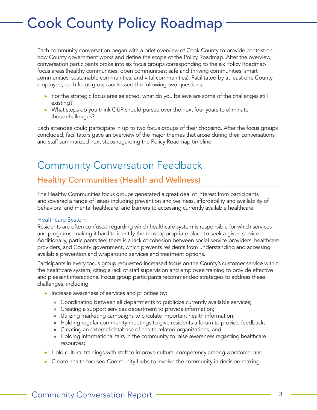Each community conversation began with a brief overview of Cook County to provide context on how County government works and define the scope of the Policy Roadmap. After the overview, conversation participants broke into six focus groups corresponding to the six Policy Roadmap focus areas (healthy communities; open communities; safe and thriving communities; smart communities; sustainable communities; and vital communities). Facilitated by at least one County employee, each focus group addressed the following two questions:

- ▶ For the strategic focus area selected, what do you believe are some of the challenges still existing?
- ▶ What steps do you think OUP should pursue over the next four years to eliminate those challenges?

Each attendee could participate in up to two focus groups of their choosing. After the focus groups concluded, facilitators gave an overview of the major themes that arose during their conversations and staff summarized next steps regarding the Policy Roadmap timeline.

### Community Conversation Feedback

### Healthy Communities (Health and Wellness)

The Healthy Communities focus groups generated a great deal of interest from participants and covered a range of issues including prevention and wellness, affordability and availability of behavioral and mental healthcare, and barriers to accessing currently available healthcare.

#### Healthcare System

Residents are often confused regarding which healthcare system is responsible for which services and programs, making it hard to identify the most appropriate place to seek a given service. Additionally, participants feel there is a lack of cohesion between social service providers, healthcare providers, and County government, which prevents residents from understanding and accessing available prevention and wraparound services and treatment options.

Participants in every focus group requested increased focus on the County's customer service within the healthcare system, citing a lack of staff supervision and employee training to provide effective and pleasant interactions. Focus group participants recommended strategies to address these challenges, including:

- $\blacktriangleright$  Increase awareness of services and priorities by:
	- » Coordinating between all departments to publicize currently available services;
	- » Creating a support services department to provide information;
	- » Utilizing marketing campaigns to circulate important health information;
	- » Holding regular community meetings to give residents a forum to provide feedback;
	- » Creating an external database of health-related organizations; and
	- » Holding informational fairs in the community to raise awareness regarding healthcare resources;
- ▶ Hold cultural trainings with staff to improve cultural competency among workforce; and
- ▶ Create health-focused Community Hubs to involve the community in decision-making.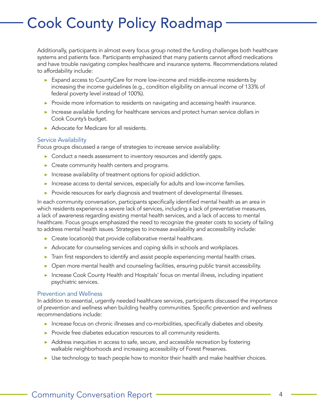Additionally, participants in almost every focus group noted the funding challenges both healthcare systems and patients face. Participants emphasized that many patients cannot afford medications and have trouble navigating complex healthcare and insurance systems. Recommendations related to affordability include:

- ▶ Expand access to CountyCare for more low-income and middle-income residents by increasing the income guidelines (e.g., condition eligibility on annual income of 133% of federal poverty level instead of 100%).
- ▶ Provide more information to residents on navigating and accessing health insurance.
- ▶ Increase available funding for healthcare services and protect human service dollars in Cook County's budget.
- ▶ Advocate for Medicare for all residents.

#### Service Availability

Focus groups discussed a range of strategies to increase service availability:

- ▶ Conduct a needs assessment to inventory resources and identify gaps.
- ▶ Create community health centers and programs.
- $\blacktriangleright$  Increase availability of treatment options for opioid addiction.
- ▶ Increase access to dental services, especially for adults and low-income families.
- ▶ Provide resources for early diagnosis and treatment of developmental illnesses.

In each community conversation, participants specifically identified mental health as an area in which residents experience a severe lack of services, including a lack of preventative measures, a lack of awareness regarding existing mental health services, and a lack of access to mental healthcare. Focus groups emphasized the need to recognize the greater costs to society of failing to address mental health issues. Strategies to increase availability and accessibility include:

- $\triangleright$  Create location(s) that provide collaborative mental healthcare.
- ▶ Advocate for counseling services and coping skills in schools and workplaces.
- ▶ Train first responders to identify and assist people experiencing mental health crises.
- ▶ Open more mental health and counseling facilities, ensuring public transit accessibility.
- ▶ Increase Cook County Health and Hospitals' focus on mental illness, including inpatient psychiatric services.

#### Prevention and Wellness

In addition to essential, urgently needed healthcare services, participants discussed the importance of prevention and wellness when building healthy communities. Specific prevention and wellness recommendations include:

- ▶ Increase focus on chronic illnesses and co-morbidities, specifically diabetes and obesity.
- ▶ Provide free diabetes education resources to all community residents.
- ▶ Address inequities in access to safe, secure, and accessible recreation by fostering walkable neighborhoods and increasing accessibility of Forest Preserves.
- ▶ Use technology to teach people how to monitor their health and make healthier choices.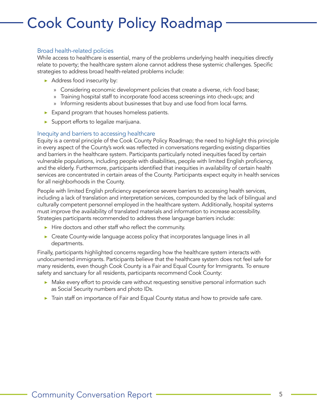#### Broad health-related policies

While access to healthcare is essential, many of the problems underlying health inequities directly relate to poverty; the healthcare system alone cannot address these systemic challenges. Specific strategies to address broad health-related problems include:

- ▶ Address food insecurity by:
	- » Considering economic development policies that create a diverse, rich food base;
	- » Training hospital staff to incorporate food access screenings into check-ups; and
	- » Informing residents about businesses that buy and use food from local farms.
- ▶ Expand program that houses homeless patients.
- $\triangleright$  Support efforts to legalize marijuana.

#### Inequity and barriers to accessing healthcare

Equity is a central principle of the Cook County Policy Roadmap; the need to highlight this principle in every aspect of the County's work was reflected in conversations regarding existing disparities and barriers in the healthcare system. Participants particularly noted inequities faced by certain vulnerable populations, including people with disabilities, people with limited English proficiency, and the elderly. Furthermore, participants identified that inequities in availability of certain health services are concentrated in certain areas of the County. Participants expect equity in health services for all neighborhoods in the County.

People with limited English proficiency experience severe barriers to accessing health services, including a lack of translation and interpretation services, compounded by the lack of bilingual and culturally competent personnel employed in the healthcare system. Additionally, hospital systems must improve the availability of translated materials and information to increase accessibility. Strategies participants recommended to address these language barriers include:

- ▶ Hire doctors and other staff who reflect the community.
- ▶ Create County-wide language access policy that incorporates language lines in all departments.

Finally, participants highlighted concerns regarding how the healthcare system interacts with undocumented immigrants. Participants believe that the healthcare system does not feel safe for many residents, even though Cook County is a Fair and Equal County for Immigrants. To ensure safety and sanctuary for all residents, participants recommend Cook County:

- ▶ Make every effort to provide care without requesting sensitive personal information such as Social Security numbers and photo IDs.
- ▶ Train staff on importance of Fair and Equal County status and how to provide safe care.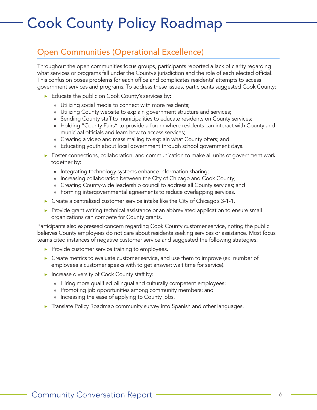### Open Communities (Operational Excellence)

Throughout the open communities focus groups, participants reported a lack of clarity regarding what services or programs fall under the County's jurisdiction and the role of each elected official. This confusion poses problems for each office and complicates residents' attempts to access government services and programs. To address these issues, participants suggested Cook County:

- ▶ Educate the public on Cook County's services by:
	- » Utilizing social media to connect with more residents;
	- » Utilizing County website to explain government structure and services;
	- » Sending County staff to municipalities to educate residents on County services;
	- » Holding "County Fairs" to provide a forum where residents can interact with County and municipal officials and learn how to access services;
	- » Creating a video and mass mailing to explain what County offers; and
	- » Educating youth about local government through school government days.
- ▶ Foster connections, collaboration, and communication to make all units of government work together by:
	- » Integrating technology systems enhance information sharing;
	- » Increasing collaboration between the City of Chicago and Cook County;
	- » Creating County-wide leadership council to address all County services; and
	- » Forming intergovernmental agreements to reduce overlapping services.
- ▶ Create a centralized customer service intake like the City of Chicago's 3-1-1.
- ▶ Provide grant writing technical assistance or an abbreviated application to ensure small organizations can compete for County grants.

Participants also expressed concern regarding Cook County customer service, noting the public believes County employees do not care about residents seeking services or assistance. Most focus teams cited instances of negative customer service and suggested the following strategies:

- ▶ Provide customer service training to employees.
- $\triangleright$  Create metrics to evaluate customer service, and use them to improve (ex: number of employees a customer speaks with to get answer; wait time for service).
- ▶ Increase diversity of Cook County staff by:
	- » Hiring more qualified bilingual and culturally competent employees;
	- » Promoting job opportunities among community members; and
	- » Increasing the ease of applying to County jobs.
- ▶ Translate Policy Roadmap community survey into Spanish and other languages.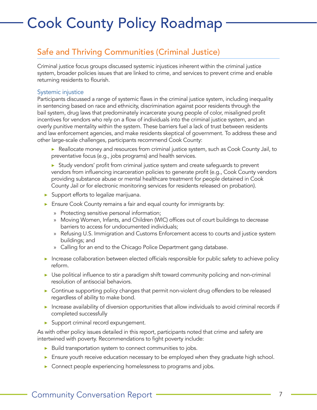### Safe and Thriving Communities (Criminal Justice)

Criminal justice focus groups discussed systemic injustices inherent within the criminal justice system, broader policies issues that are linked to crime, and services to prevent crime and enable returning residents to flourish.

#### Systemic injustice

Participants discussed a range of systemic flaws in the criminal justice system, including inequality in sentencing based on race and ethnicity, discrimination against poor residents through the bail system, drug laws that predominately incarcerate young people of color, misaligned profit incentives for vendors who rely on a flow of individuals into the criminal justice system, and an overly punitive mentality within the system. These barriers fuel a lack of trust between residents and law enforcement agencies, and make residents skeptical of government. To address these and other large-scale challenges, participants recommend Cook County:

- ▶ Reallocate money and resources from criminal justice system, such as Cook County Jail, to preventative focus (e.g., jobs programs) and health services.
- ▶ Study vendors' profit from criminal justice system and create safeguards to prevent vendors from influencing incarceration policies to generate profit (e.g., Cook County vendors providing substance abuse or mental healthcare treatment for people detained in Cook County Jail or for electronic monitoring services for residents released on probation).
- ▶ Support efforts to legalize marijuana.
- ▶ Ensure Cook County remains a fair and equal county for immigrants by:
	- » Protecting sensitive personal information;
	- » Moving Women, Infants, and Children (WIC) offices out of court buildings to decrease barriers to access for undocumented individuals;
	- » Refusing U.S. Immigration and Customs Enforcement access to courts and justice system buildings; and
	- » Calling for an end to the Chicago Police Department gang database.
- ▶ Increase collaboration between elected officials responsible for public safety to achieve policy reform.
- ▶ Use political influence to stir a paradigm shift toward community policing and non-criminal resolution of antisocial behaviors.
- ▶ Continue supporting policy changes that permit non-violent drug offenders to be released regardless of ability to make bond.
- ▶ Increase availability of diversion opportunities that allow individuals to avoid criminal records if completed successfully
- ▶ Support criminal record expungement.

As with other policy issues detailed in this report, participants noted that crime and safety are intertwined with poverty. Recommendations to fight poverty include:

- ▶ Build transportation system to connect communities to jobs.
- ▶ Ensure youth receive education necessary to be employed when they graduate high school.
- ▶ Connect people experiencing homelessness to programs and jobs.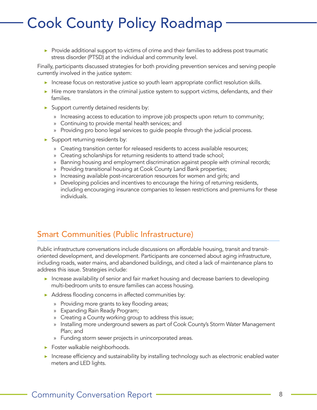▶ Provide additional support to victims of crime and their families to address post traumatic stress disorder (PTSD) at the individual and community level.

Finally, participants discussed strategies for both providing prevention services and serving people currently involved in the justice system:

- ▶ Increase focus on restorative justice so youth learn appropriate conflict resolution skills.
- ▶ Hire more translators in the criminal justice system to support victims, defendants, and their families.
- $\blacktriangleright$  Support currently detained residents by:
	- » Increasing access to education to improve job prospects upon return to community;
	- » Continuing to provide mental health services; and
	- » Providing pro bono legal services to guide people through the judicial process.
- $\blacktriangleright$  Support returning residents by:
	- » Creating transition center for released residents to access available resources;
	- » Creating scholarships for returning residents to attend trade school;
	- » Banning housing and employment discrimination against people with criminal records;
	- » Providing transitional housing at Cook County Land Bank properties;
	- » Increasing available post-incarceration resources for women and girls; and
	- » Developing policies and incentives to encourage the hiring of returning residents, including encouraging insurance companies to lessen restrictions and premiums for these individuals.

#### Smart Communities (Public Infrastructure)

Public infrastructure conversations include discussions on affordable housing, transit and transitoriented development, and development. Participants are concerned about aging infrastructure, including roads, water mains, and abandoned buildings, and cited a lack of maintenance plans to address this issue. Strategies include:

- ▶ Increase availability of senior and fair market housing and decrease barriers to developing multi-bedroom units to ensure families can access housing.
- ▶ Address flooding concerns in affected communities by:
	- » Providing more grants to key flooding areas;
	- » Expanding Rain Ready Program;
	- » Creating a County working group to address this issue;
	- » Installing more underground sewers as part of Cook County's Storm Water Management Plan; and
	- » Funding storm sewer projects in unincorporated areas.
- ▶ Foster walkable neighborhoods.
- ▶ Increase efficiency and sustainability by installing technology such as electronic enabled water meters and LED lights.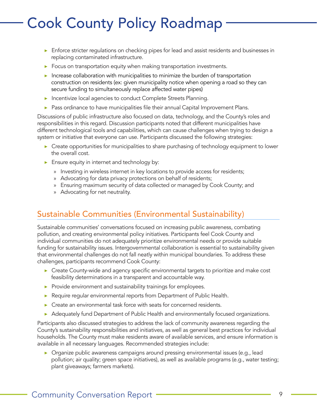- ▶ Enforce stricter regulations on checking pipes for lead and assist residents and businesses in replacing contaminated infrastructure.
- $\triangleright$  Focus on transportation equity when making transportation investments.
- $\blacktriangleright$  Increase collaboration with municipalities to minimize the burden of transportation construction on residents (ex: given municipality notice when opening a road so they can secure funding to simultaneously replace affected water pipes)
- ▶ Incentivize local agencies to conduct Complete Streets Planning.
- ▶ Pass ordinance to have municipalities file their annual Capital Improvement Plans.

Discussions of public infrastructure also focused on data, technology, and the County's roles and responsibilities in this regard. Discussion participants noted that different municipalities have different technological tools and capabilities, which can cause challenges when trying to design a system or initiative that everyone can use. Participants discussed the following strategies:

- ▶ Create opportunities for municipalities to share purchasing of technology equipment to lower the overall cost.
- $\blacktriangleright$  Ensure equity in internet and technology by:
	- » Investing in wireless internet in key locations to provide access for residents;
	- » Advocating for data privacy protections on behalf of residents;
	- » Ensuring maximum security of data collected or managed by Cook County; and
	- » Advocating for net neutrality.

### Sustainable Communities (Environmental Sustainability)

Sustainable communities' conversations focused on increasing public awareness, combating pollution, and creating environmental policy initiatives. Participants feel Cook County and individual communities do not adequately prioritize environmental needs or provide suitable funding for sustainability issues. Intergovernmental collaboration is essential to sustainability given that environmental challenges do not fall neatly within municipal boundaries. To address these challenges, participants recommend Cook County:

- ▶ Create County-wide and agency specific environmental targets to prioritize and make cost feasibility determinations in a transparent and accountable way.
- ▶ Provide environment and sustainability trainings for employees.
- ▶ Require regular environmental reports from Department of Public Health.
- ▶ Create an environmental task force with seats for concerned residents.
- ▶ Adequately fund Department of Public Health and environmentally focused organizations.

Participants also discussed strategies to address the lack of community awareness regarding the County's sustainability responsibilities and initiatives, as well as general best practices for individual households. The County must make residents aware of available services, and ensure information is available in all necessary languages. Recommended strategies include:

▶ Organize public awareness campaigns around pressing environmental issues (e.g., lead pollution; air quality; green space initiatives), as well as available programs (e.g., water testing; plant giveaways; farmers markets).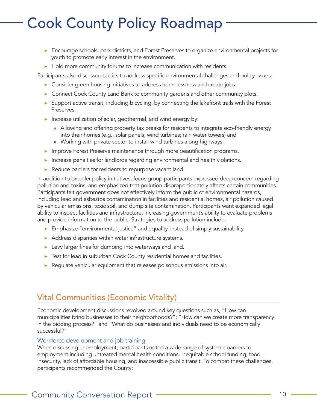- ▶ Encourage schools, park districts, and Forest Preserves to organize environmental projects for youth to promote early interest in the environment.
- ▶ Hold more community forums to increase communication with residents.

Participants also discussed tactics to address specific environmental challenges and policy issues:

- ▶ Consider green housing initiatives to address homelessness and create jobs.
- ▶ Connect Cook County Land Bank to community gardens and other community plots.
- ▶ Support active transit, including bicycling, by connecting the lakefront trails with the Forest Preserves.
- $\blacktriangleright$  Increase utilization of solar, geothermal, and wind energy by:
	- » Allowing and offering property tax breaks for residents to integrate eco-friendly energy into their homes (e.g., solar panels; wind turbines; rain water towers) and
	- » Working with private sector to install wind turbines along highways.
- ▶ Improve Forest Preserve maintenance through more beautification programs.
- ▶ Increase penalties for landlords regarding environmental and health violations.
- ▶ Reduce barriers for residents to repurpose vacant land.

In addition to broader policy initiatives, focus group participants expressed deep concern regarding pollution and toxins, and emphasized that pollution disproportionately affects certain communities. Participants felt government does not effectively inform the public of environmental hazards, including lead and asbestos contamination in facilities and residential homes, air pollution caused by vehicular emissions, toxic soil, and dump site contamination. Participants want expanded legal ability to inspect facilities and infrastructure, increasing government's ability to evaluate problems and provide information to the public. Strategies to address pollution include:

- ▶ Emphasize "environmental justice" and equality, instead of simply sustainability.
- ▶ Address disparities within water infrastructure systems.
- ▶ Levy larger fines for dumping into waterways and land.
- ▶ Test for lead in suburban Cook County residential homes and facilities.
- ▶ Regulate vehicular equipment that releases poisonous emissions into air.

#### Vital Communities (Economic Vitality)

Economic development discussions revolved around key questions such as, "How can municipalities bring businesses to their neighborhoods?"; "How can we create more transparency in the bidding process?" and "What do businesses and individuals need to be economically successful?"

#### Workforce development and job training

When discussing unemployment, participants noted a wide range of systemic barriers to employment including untreated mental health conditions, inequitable school funding, food insecurity, lack of affordable housing, and inaccessible public transit. To combat these challenges, participants recommended the County: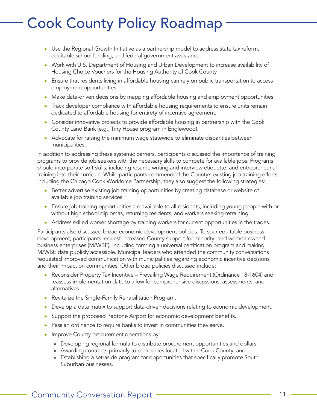- $\triangleright$  Use the Regional Growth Initiative as a partnership model to address state tax reform, equitable school funding, and federal government assistance.
- ▶ Work with U.S. Department of Housing and Urban Development to increase availability of Housing Choice Vouchers for the Housing Authority of Cook County.
- ▶ Ensure that residents living in affordable housing can rely on public transportation to access employment opportunities.
- ▶ Make data-driven decisions by mapping affordable housing and employment opportunities
- ▶ Track developer compliance with affordable housing requirements to ensure units remain dedicated to affordable housing for entirety of incentive agreement.
- ▶ Consider innovative projects to provide affordable housing in partnership with the Cook County Land Bank (e.g., Tiny House program in Englewood).
- ▶ Advocate for raising the minimum wage statewide to eliminate disparities between municipalities.

In addition to addressing these systemic barriers, participants discussed the importance of training programs to provide job seekers with the necessary skills to compete for available jobs. Programs should incorporate soft skills, including resume writing and interview etiquette, and entrepreneurial training into their curricula. While participants commended the County's existing job training efforts, including the Chicago Cook Workforce Partnership, they also suggest the following strategies:

- ▶ Better advertise existing job training opportunities by creating database or website of available job training services.
- ▶ Ensure job training opportunities are available to all residents, including young people with or without high school diplomas, returning residents, and workers seeking retraining.
- ▶ Address skilled worker shortage by training workers for current opportunities in the trades.

Participants also discussed broad economic development policies. To spur equitable business development, participants request increased County support for minority- and women-owned business enterprises (M/WBE), including forming a universal certification program and making M/WBE data publicly accessible. Municipal leaders who attended the community conversations requested improved communication with municipalities regarding economic incentive decisions and their impact on communities. Other broad policies discussed include:

- ▶ Reconsider Property Tax Incentive Prevailing Wage Requirement (Ordinance 18-1604) and reassess implementation date to allow for comprehensive discussions, assessments, and alternatives.
- ▶ Revitalize the Single-Family Rehabilitation Program.
- ▶ Develop a data matrix to support data-driven decisions relating to economic development.
- Support the proposed Peotone Airport for economic development benefits.
- ▶ Pass an ordinance to require banks to invest in communities they serve.
- **IMPROVE COUNTY procurement operations by:** 
	- » Developing regional formula to distribute procurement opportunities and dollars;
	- » Awarding contracts primarily to companies located within Cook County; and
	- » Establishing a set-aside program for opportunities that specifically promote South Suburban businesses.